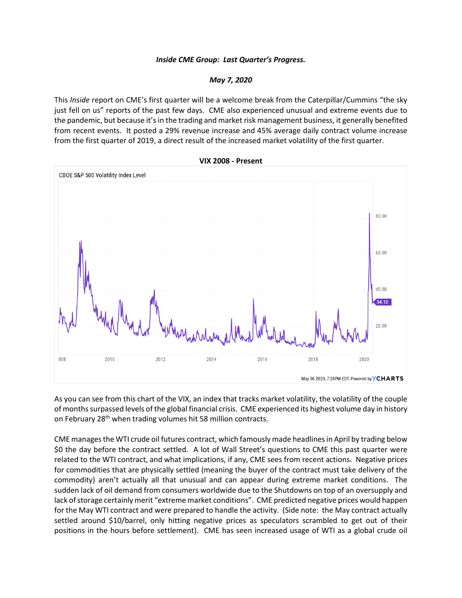## *Inside CME Group: Last Quarter's Progress.*

## *May 7, 2020*

This *Inside* report on CME's first quarter will be a welcome break from the Caterpillar/Cummins "the sky just fell on us" reports of the past few days. CME also experienced unusual and extreme events due to the pandemic, but because it'sin the trading and market risk management business, it generally benefited from recent events. It posted a 29% revenue increase and 45% average daily contract volume increase from the first quarter of 2019, a direct result of the increased market volatility of the first quarter.



As you can see from this chart of the VIX, an index that tracks market volatility, the volatility of the couple of months surpassed levels of the global financial crisis. CME experienced its highest volume day in history on February 28<sup>th</sup> when trading volumes hit 58 million contracts.

CME manages the WTI crude oil futures contract, which famously made headlines in April by trading below \$0 the day before the contract settled. A lot of Wall Street's questions to CME this past quarter were related to the WTI contract, and what implications, if any, CME sees from recent actions. Negative prices for commodities that are physically settled (meaning the buyer of the contract must take delivery of the commodity) aren't actually all that unusual and can appear during extreme market conditions. The sudden lack of oil demand from consumers worldwide due to the Shutdowns on top of an oversupply and lack of storage certainly merit "extreme market conditions". CME predicted negative prices would happen for the May WTI contract and were prepared to handle the activity. (Side note: the May contract actually settled around \$10/barrel, only hitting negative prices as speculators scrambled to get out of their positions in the hours before settlement). CME has seen increased usage of WTI as a global crude oil